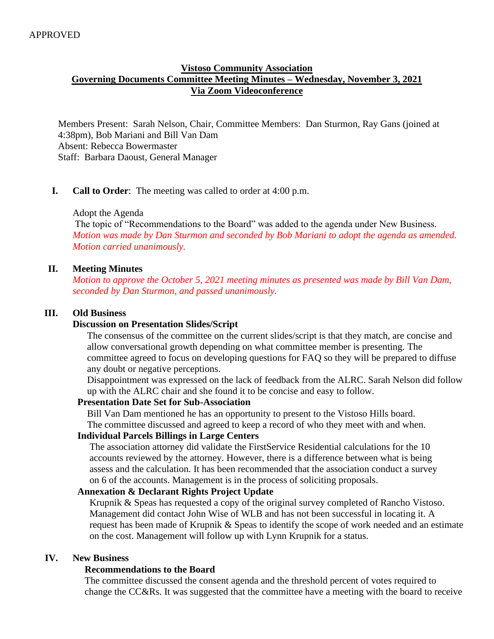# **Vistoso Community Association Governing Documents Committee Meeting Minutes – Wednesday, November 3, 2021 Via Zoom Videoconference**

Members Present: Sarah Nelson, Chair, Committee Members: Dan Sturmon, Ray Gans (joined at 4:38pm), Bob Mariani and Bill Van Dam Absent: Rebecca Bowermaster Staff: Barbara Daoust, General Manager

## **I. Call to Order**: The meeting was called to order at 4:00 p.m.

#### Adopt the Agenda

 The topic of "Recommendations to the Board" was added to the agenda under New Business. *Motion was made by Dan Sturmon and seconded by Bob Mariani to adopt the agenda as amended. Motion carried unanimously.* 

## **II. Meeting Minutes**

*Motion to approve the October 5, 2021 meeting minutes as presented was made by Bill Van Dam, seconded by Dan Sturmon, and passed unanimously.*

#### **III. Old Business**

#### **Discussion on Presentation Slides/Script**

The consensus of the committee on the current slides/script is that they match, are concise and allow conversational growth depending on what committee member is presenting. The committee agreed to focus on developing questions for FAQ so they will be prepared to diffuse any doubt or negative perceptions.

 Disappointment was expressed on the lack of feedback from the ALRC. Sarah Nelson did follow up with the ALRC chair and she found it to be concise and easy to follow.

#### **Presentation Date Set for Sub-Association**

 Bill Van Dam mentioned he has an opportunity to present to the Vistoso Hills board. The committee discussed and agreed to keep a record of who they meet with and when.

#### **Individual Parcels Billings in Large Centers**

The association attorney did validate the FirstService Residential calculations for the 10 accounts reviewed by the attorney. However, there is a difference between what is being assess and the calculation. It has been recommended that the association conduct a survey on 6 of the accounts. Management is in the process of soliciting proposals.

#### **Annexation & Declarant Rights Project Update**

 Krupnik & Speas has requested a copy of the original survey completed of Rancho Vistoso. Management did contact John Wise of WLB and has not been successful in locating it. A request has been made of Krupnik & Speas to identify the scope of work needed and an estimate on the cost. Management will follow up with Lynn Krupnik for a status.

#### **IV. New Business**

#### **Recommendations to the Board**

The committee discussed the consent agenda and the threshold percent of votes required to change the CC&Rs. It was suggested that the committee have a meeting with the board to receive